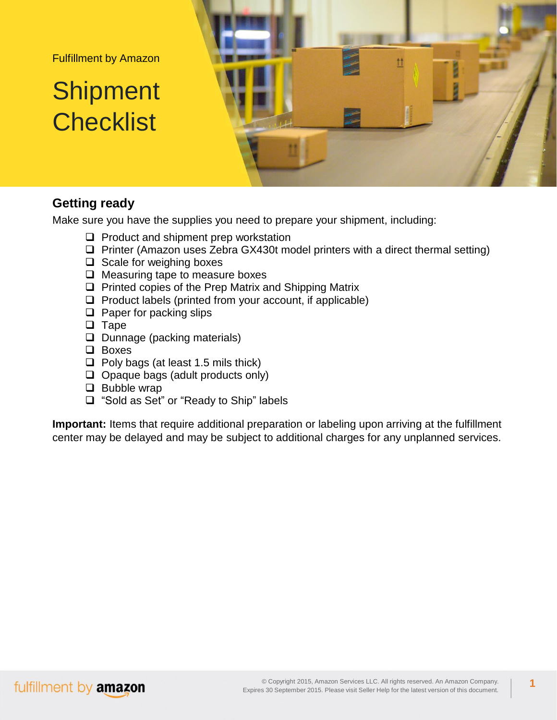Fulfillment by Amazon

# **Shipment Checklist**



#### **Getting ready**

Make sure you have the supplies you need to prepare your shipment, including:

- $\Box$  Product and shipment prep workstation
- $\Box$  Printer (Amazon uses Zebra GX430t model printers with a direct thermal setting)
- $\Box$  Scale for weighing boxes
- $\Box$  Measuring tape to measure boxes
- $\Box$  Printed copies of the Prep Matrix and Shipping Matrix
- $\Box$  Product labels (printed from your account, if applicable)
- $\Box$  Paper for packing slips
- $\Box$  Tape
- $\Box$  Dunnage (packing materials)
- □ Boxes
- $\Box$  Poly bags (at least 1.5 mils thick)
- $\Box$  Opaque bags (adult products only)
- $\Box$  Bubble wrap
- □ "Sold as Set" or "Ready to Ship" labels

**Important:** Items that require additional preparation or labeling upon arriving at the fulfillment center may be delayed and may be subject to additional charges for any unplanned services.